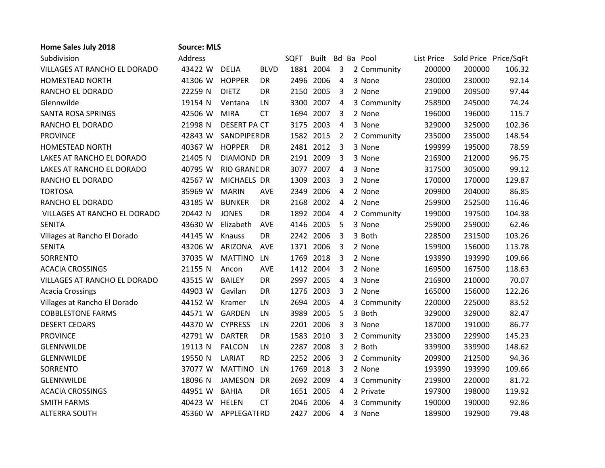| Home Sales July 2018         | <b>Source: MLS</b> |                     |             |             |                  |                |             |            |                       |        |
|------------------------------|--------------------|---------------------|-------------|-------------|------------------|----------------|-------------|------------|-----------------------|--------|
| Subdivision                  | Address            |                     |             | <b>SQFT</b> | Built Bd Ba Pool |                |             | List Price | Sold Price Price/SqFt |        |
| VILLAGES AT RANCHO EL DORADO | 43422 W            | <b>DELIA</b>        | <b>BLVD</b> |             | 1881 2004        | 3              | 2 Community | 200000     | 200000                | 106.32 |
| <b>HOMESTEAD NORTH</b>       | 41306 W            | <b>HOPPER</b>       | <b>DR</b>   |             | 2496 2006        | 4              | 3 None      | 230000     | 230000                | 92.14  |
| RANCHO EL DORADO             | 22259 N            | <b>DIETZ</b>        | <b>DR</b>   |             | 2150 2005        | 3              | 2 None      | 219000     | 209500                | 97.44  |
| Glennwilde                   | 19154 N            | Ventana             | LN          |             | 3300 2007        | $\overline{4}$ | 3 Community | 258900     | 245000                | 74.24  |
| <b>SANTA ROSA SPRINGS</b>    | 42506 W            | <b>MIRA</b>         | <b>CT</b>   |             | 1694 2007        | 3              | 2 None      | 196000     | 196000                | 115.7  |
| RANCHO EL DORADO             | 21998 N            | <b>DESERT PA CT</b> |             |             | 3175 2003        | 4              | 3 None      | 329000     | 325000                | 102.36 |
| <b>PROVINCE</b>              | 42843 W            | <b>SANDPIPER DR</b> |             |             | 1582 2015        | $\overline{2}$ | 2 Community | 235000     | 235000                | 148.54 |
| <b>HOMESTEAD NORTH</b>       | 40367 W            | <b>HOPPER</b>       | DR          |             | 2481 2012        | 3              | 3 None      | 199999     | 195000                | 78.59  |
| LAKES AT RANCHO EL DORADO    | 21405 N            | <b>DIAMOND DR</b>   |             |             | 2191 2009        | 3              | 3 None      | 216900     | 212000                | 96.75  |
| LAKES AT RANCHO EL DORADO    | 40795 W            | RIO GRANE DR        |             |             | 3077 2007        | 4              | 3 None      | 317500     | 305000                | 99.12  |
| RANCHO EL DORADO             | 42567 W            | MICHAELS DR         |             |             | 1309 2003        | 3              | 2 None      | 170000     | 170000                | 129.87 |
| <b>TORTOSA</b>               | 35969 W            | <b>MARIN</b>        | <b>AVE</b>  |             | 2349 2006        | 4              | 2 None      | 209900     | 204000                | 86.85  |
| RANCHO EL DORADO             | 43185 W            | <b>BUNKER</b>       | <b>DR</b>   |             | 2168 2002        | 4              | 2 None      | 259900     | 252500                | 116.46 |
| VILLAGES AT RANCHO EL DORADO | 20442 N            | <b>JONES</b>        | <b>DR</b>   |             | 1892 2004        | 4              | 2 Community | 199000     | 197500                | 104.38 |
| <b>SENITA</b>                | 43630 W            | Elizabeth           | AVE         |             | 4146 2005        | 5              | 3 None      | 259000     | 259000                | 62.46  |
| Villages at Rancho El Dorado | 44145 W            | Knauss              | <b>DR</b>   |             | 2242 2006        | 3              | 3 Both      | 228500     | 231500                | 103.26 |
| <b>SENITA</b>                | 43206 W            | ARIZONA             | AVE         |             | 1371 2006        | 3              | 2 None      | 159900     | 156000                | 113.78 |
| SORRENTO                     | 37035 W            | <b>MATTINO</b>      | LN          |             | 1769 2018        | 3              | 2 None      | 193990     | 193990                | 109.66 |
| <b>ACACIA CROSSINGS</b>      | 21155 N            | Ancon               | <b>AVE</b>  |             | 1412 2004        | 3              | 2 None      | 169500     | 167500                | 118.63 |
| VILLAGES AT RANCHO EL DORADO | 43515 W            | <b>BAILEY</b>       | <b>DR</b>   |             | 2997 2005        | 4              | 3 None      | 216900     | 210000                | 70.07  |
| <b>Acacia Crossings</b>      | 44903 W            | Gavilan             | <b>DR</b>   |             | 1276 2003        | 3              | 2 None      | 165000     | 156000                | 122.26 |
| Villages at Rancho El Dorado | 44152 W            | Kramer              | LN          |             | 2694 2005        | 4              | 3 Community | 220000     | 225000                | 83.52  |
| <b>COBBLESTONE FARMS</b>     | 44571 W            | <b>GARDEN</b>       | LN          |             | 3989 2005        | 5              | 3 Both      | 329000     | 329000                | 82.47  |
| <b>DESERT CEDARS</b>         | 44370 W            | <b>CYPRESS</b>      | LN          |             | 2201 2006        | 3              | 3 None      | 187000     | 191000                | 86.77  |
| <b>PROVINCE</b>              | 42791 W            | <b>DARTER</b>       | <b>DR</b>   |             | 1583 2010        | 3              | 2 Community | 233000     | 229900                | 145.23 |
| <b>GLENNWILDE</b>            | 19113 N            | <b>FALCON</b>       | LN          |             | 2287 2008        | 3              | 2 Both      | 339900     | 339900                | 148.62 |
| <b>GLENNWILDE</b>            | 19550 N            | LARIAT              | <b>RD</b>   |             | 2252 2006        | 3              | 2 Community | 209900     | 212500                | 94.36  |
| SORRENTO                     | 37077 W            | <b>MATTINO</b>      | LN          |             | 1769 2018        | 3              | 2 None      | 193990     | 193990                | 109.66 |
| <b>GLENNWILDE</b>            | 18096 N            | <b>JAMESON</b>      | <b>DR</b>   |             | 2692 2009        | 4              | 3 Community | 219900     | 220000                | 81.72  |
| <b>ACACIA CROSSINGS</b>      | 44951 W            | <b>BAHIA</b>        | DR          |             | 1651 2005        | 4              | 2 Private   | 197900     | 198000                | 119.92 |
| <b>SMITH FARMS</b>           | 40423 W            | <b>HELEN</b>        | <b>CT</b>   |             | 2046 2006        | 4              | 3 Community | 190000     | 190000                | 92.86  |
| <b>ALTERRA SOUTH</b>         | 45360 W            | <b>APPLEGATI RD</b> |             |             | 2427 2006        | 4              | 3 None      | 189900     | 192900                | 79.48  |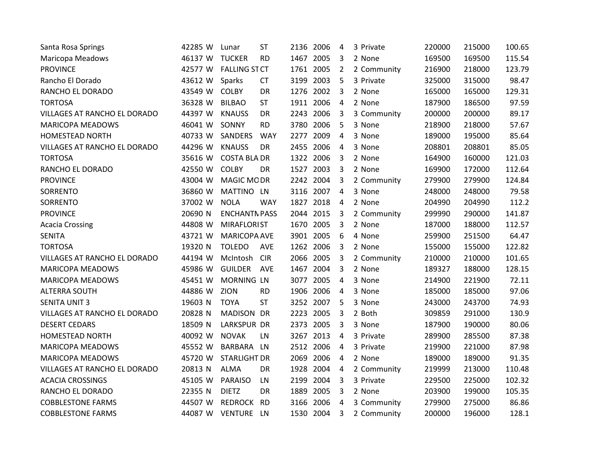| Santa Rosa Springs           | 42285 W | Lunar                | <b>ST</b>  |           | 2136 2006 | 4              | 3 Private   | 220000 | 215000 | 100.65 |
|------------------------------|---------|----------------------|------------|-----------|-----------|----------------|-------------|--------|--------|--------|
| <b>Maricopa Meadows</b>      | 46137 W | <b>TUCKER</b>        | <b>RD</b>  |           | 1467 2005 | 3              | 2 None      | 169500 | 169500 | 115.54 |
| <b>PROVINCE</b>              | 42577 W | <b>FALLING ST CT</b> |            |           | 1761 2005 | $\overline{2}$ | 2 Community | 216900 | 218000 | 123.79 |
| Rancho El Dorado             | 43612 W | Sparks               | <b>CT</b>  |           | 3199 2003 | 5              | 3 Private   | 325000 | 315000 | 98.47  |
| RANCHO EL DORADO             | 43549 W | <b>COLBY</b>         | <b>DR</b>  |           | 1276 2002 | 3              | 2 None      | 165000 | 165000 | 129.31 |
| <b>TORTOSA</b>               | 36328 W | <b>BILBAO</b>        | <b>ST</b>  |           | 1911 2006 | 4              | 2 None      | 187900 | 186500 | 97.59  |
| VILLAGES AT RANCHO EL DORADO | 44397 W | <b>KNAUSS</b>        | DR         |           | 2243 2006 | 3              | 3 Community | 200000 | 200000 | 89.17  |
| <b>MARICOPA MEADOWS</b>      | 46041 W | SONNY                | <b>RD</b>  |           | 3780 2006 | 5              | 3 None      | 218900 | 218000 | 57.67  |
| <b>HOMESTEAD NORTH</b>       | 40733 W | SANDERS              | <b>WAY</b> |           | 2277 2009 | 4              | 3 None      | 189000 | 195000 | 85.64  |
| VILLAGES AT RANCHO EL DORADO | 44296 W | <b>KNAUSS</b>        | <b>DR</b>  | 2455 2006 |           | 4              | 3 None      | 208801 | 208801 | 85.05  |
| <b>TORTOSA</b>               | 35616 W | <b>COSTA BLA DR</b>  |            |           | 1322 2006 | 3              | 2 None      | 164900 | 160000 | 121.03 |
| RANCHO EL DORADO             | 42550 W | <b>COLBY</b>         | DR         | 1527 2003 |           | 3              | 2 None      | 169900 | 172000 | 112.64 |
| <b>PROVINCE</b>              | 43004 W | MAGIC MODR           |            |           | 2242 2004 | 3              | 2 Community | 279900 | 279900 | 124.84 |
| SORRENTO                     | 36860 W | MATTINO LN           |            |           | 3116 2007 | $\overline{4}$ | 3 None      | 248000 | 248000 | 79.58  |
| SORRENTO                     | 37002 W | <b>NOLA</b>          | <b>WAY</b> |           | 1827 2018 | 4              | 2 None      | 204990 | 204990 | 112.2  |
| <b>PROVINCE</b>              | 20690 N | <b>ENCHANTN PASS</b> |            | 2044 2015 |           | 3              | 2 Community | 299990 | 290000 | 141.87 |
| <b>Acacia Crossing</b>       | 44808 W | <b>MIRAFLORIST</b>   |            | 1670 2005 |           | 3              | 2 None      | 187000 | 188000 | 112.57 |
| <b>SENITA</b>                | 43721 W | <b>MARICOPA AVE</b>  |            | 3901 2005 |           | 6              | 4 None      | 259900 | 251500 | 64.47  |
| <b>TORTOSA</b>               | 19320 N | <b>TOLEDO</b>        | <b>AVE</b> |           | 1262 2006 | 3              | 2 None      | 155000 | 155000 | 122.82 |
| VILLAGES AT RANCHO EL DORADO | 44194 W | McIntosh             | <b>CIR</b> |           | 2066 2005 | 3              | 2 Community | 210000 | 210000 | 101.65 |
| <b>MARICOPA MEADOWS</b>      | 45986 W | <b>GUILDER</b>       | AVE        |           | 1467 2004 | 3              | 2 None      | 189327 | 188000 | 128.15 |
| <b>MARICOPA MEADOWS</b>      | 45451 W | MORNING LN           |            |           | 3077 2005 | 4              | 3 None      | 214900 | 221900 | 72.11  |
| <b>ALTERRA SOUTH</b>         | 44886 W | ZION                 | <b>RD</b>  |           | 1906 2006 | 4              | 3 None      | 185000 | 185000 | 97.06  |
| <b>SENITA UNIT 3</b>         | 19603 N | <b>TOYA</b>          | <b>ST</b>  |           | 3252 2007 | 5              | 3 None      | 243000 | 243700 | 74.93  |
| VILLAGES AT RANCHO EL DORADO | 20828 N | MADISON DR           |            | 2223 2005 |           | 3              | 2 Both      | 309859 | 291000 | 130.9  |
| <b>DESERT CEDARS</b>         | 18509 N | LARKSPUR DR          |            | 2373 2005 |           | 3              | 3 None      | 187900 | 190000 | 80.06  |
| <b>HOMESTEAD NORTH</b>       | 40092 W | <b>NOVAK</b>         | LN         |           | 3267 2013 | 4              | 3 Private   | 289900 | 285500 | 87.38  |
| MARICOPA MEADOWS             | 45552 W | <b>BARBARA</b>       | <b>LN</b>  |           | 2512 2006 | 4              | 3 Private   | 219900 | 221000 | 87.98  |
| <b>MARICOPA MEADOWS</b>      | 45720 W | <b>STARLIGHT DR</b>  |            |           | 2069 2006 | 4              | 2 None      | 189000 | 189000 | 91.35  |
| VILLAGES AT RANCHO EL DORADO | 20813 N | <b>ALMA</b>          | DR         |           | 1928 2004 | 4              | 2 Community | 219999 | 213000 | 110.48 |
| <b>ACACIA CROSSINGS</b>      | 45105 W | <b>PARAISO</b>       | LN         |           | 2199 2004 | 3              | 3 Private   | 229500 | 225000 | 102.32 |
| RANCHO EL DORADO             | 22355 N | <b>DIETZ</b>         | DR         | 1889 2005 |           | 3              | 2 None      | 203900 | 199000 | 105.35 |
| <b>COBBLESTONE FARMS</b>     | 44507 W | <b>REDROCK</b>       | <b>RD</b>  |           | 3166 2006 | 4              | 3 Community | 279900 | 275000 | 86.86  |
| <b>COBBLESTONE FARMS</b>     | 44087 W | VENTURE LN           |            |           | 1530 2004 | 3              | 2 Community | 200000 | 196000 | 128.1  |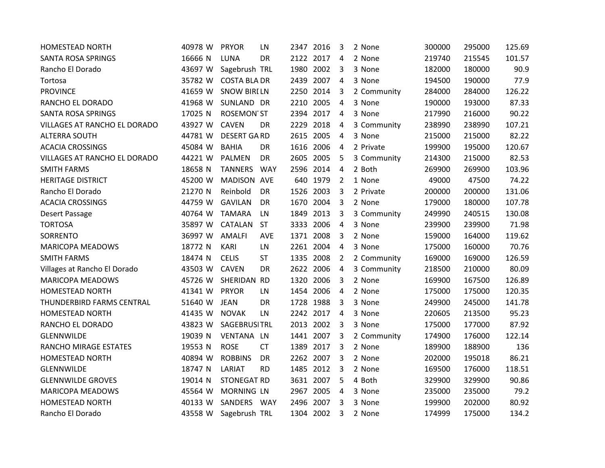| <b>HOMESTEAD NORTH</b>       | 40978 W | <b>PRYOR</b>          | LN         | 2347 2016 |           | 3              | 2 None      | 300000 | 295000 | 125.69 |
|------------------------------|---------|-----------------------|------------|-----------|-----------|----------------|-------------|--------|--------|--------|
| SANTA ROSA SPRINGS           | 16666 N | <b>LUNA</b>           | <b>DR</b>  |           | 2122 2017 | $\overline{4}$ | 2 None      | 219740 | 215545 | 101.57 |
| Rancho El Dorado             | 43697 W | Sagebrush TRL         |            |           | 1980 2002 | 3              | 3 None      | 182000 | 180000 | 90.9   |
| Tortosa                      | 35782 W | <b>COSTA BLA DR</b>   |            |           | 2439 2007 | $\overline{4}$ | 3 None      | 194500 | 190000 | 77.9   |
| <b>PROVINCE</b>              | 41659 W | <b>SNOW BIRILN</b>    |            |           | 2250 2014 | 3              | 2 Community | 284000 | 284000 | 126.22 |
| RANCHO EL DORADO             | 41968 W | SUNLAND DR            |            | 2210 2005 |           | 4              | 3 None      | 190000 | 193000 | 87.33  |
| <b>SANTA ROSA SPRINGS</b>    | 17025 N | <b>ROSEMON ST</b>     |            |           | 2394 2017 | $\overline{4}$ | 3 None      | 217990 | 216000 | 90.22  |
| VILLAGES AT RANCHO EL DORADO | 43927 W | <b>CAVEN</b>          | DR         |           | 2229 2018 | 4              | 3 Community | 238990 | 238990 | 107.21 |
| <b>ALTERRA SOUTH</b>         | 44781 W | <b>DESERT GARD</b>    |            |           | 2615 2005 | 4              | 3 None      | 215000 | 215000 | 82.22  |
| <b>ACACIA CROSSINGS</b>      | 45084 W | <b>BAHIA</b>          | <b>DR</b>  |           | 1616 2006 | 4              | 2 Private   | 199900 | 195000 | 120.67 |
| VILLAGES AT RANCHO EL DORADO | 44221 W | <b>PALMEN</b>         | DR         | 2605 2005 |           | 5              | 3 Community | 214300 | 215000 | 82.53  |
| <b>SMITH FARMS</b>           | 18658 N | TANNERS WAY           |            |           | 2596 2014 | 4              | 2 Both      | 269900 | 269900 | 103.96 |
| <b>HERITAGE DISTRICT</b>     | 45200 W | MADISON AVE           |            |           | 640 1979  | 2              | 1 None      | 49000  | 47500  | 74.22  |
| Rancho El Dorado             | 21270 N | Reinbold              | DR         | 1526 2003 |           | 3              | 2 Private   | 200000 | 200000 | 131.06 |
| <b>ACACIA CROSSINGS</b>      | 44759 W | <b>GAVILAN</b>        | <b>DR</b>  |           | 1670 2004 | 3              | 2 None      | 179000 | 180000 | 107.78 |
| Desert Passage               | 40764 W | <b>TAMARA</b>         | LN         |           | 1849 2013 | 3              | 3 Community | 249990 | 240515 | 130.08 |
| <b>TORTOSA</b>               | 35897 W | CATALAN               | <b>ST</b>  |           | 3333 2006 | 4              | 3 None      | 239900 | 239900 | 71.98  |
| SORRENTO                     | 36997 W | <b>AMALFI</b>         | <b>AVE</b> |           | 1371 2008 | 3              | 2 None      | 159000 | 164000 | 119.62 |
| <b>MARICOPA MEADOWS</b>      | 18772 N | KARI                  | LN         |           | 2261 2004 | $\overline{4}$ | 3 None      | 175000 | 160000 | 70.76  |
| <b>SMITH FARMS</b>           | 18474 N | <b>CELIS</b>          | <b>ST</b>  |           | 1335 2008 | $\overline{2}$ | 2 Community | 169000 | 169000 | 126.59 |
| Villages at Rancho El Dorado | 43503 W | <b>CAVEN</b>          | <b>DR</b>  |           | 2622 2006 | 4              | 3 Community | 218500 | 210000 | 80.09  |
| <b>MARICOPA MEADOWS</b>      | 45726 W | SHERIDAN RD           |            |           | 1320 2006 | 3              | 2 None      | 169900 | 167500 | 126.89 |
| <b>HOMESTEAD NORTH</b>       | 41341 W | <b>PRYOR</b>          | LN         |           | 1454 2006 | 4              | 2 None      | 175000 | 175000 | 120.35 |
| THUNDERBIRD FARMS CENTRAL    | 51640 W | <b>JEAN</b>           | <b>DR</b>  |           | 1728 1988 | $\overline{3}$ | 3 None      | 249900 | 245000 | 141.78 |
| <b>HOMESTEAD NORTH</b>       | 41435 W | <b>NOVAK</b>          | LN         |           | 2242 2017 | 4              | 3 None      | 220605 | 213500 | 95.23  |
| RANCHO EL DORADO             | 43823 W | <b>SAGEBRUSITRL</b>   |            | 2013 2002 |           | 3              | 3 None      | 175000 | 177000 | 87.92  |
| <b>GLENNWILDE</b>            | 19039 N | VENTANA LN            |            |           | 1441 2007 | 3              | 2 Community | 174900 | 176000 | 122.14 |
| RANCHO MIRAGE ESTATES        | 19553 N | <b>ROSE</b>           | <b>CT</b>  |           | 1389 2017 | 3              | 2 None      | 189900 | 188900 | 136    |
| <b>HOMESTEAD NORTH</b>       | 40894 W | <b>ROBBINS</b>        | <b>DR</b>  |           | 2262 2007 | $\overline{3}$ | 2 None      | 202000 | 195018 | 86.21  |
| <b>GLENNWILDE</b>            | 18747 N | LARIAT                | <b>RD</b>  |           | 1485 2012 | 3              | 2 None      | 169500 | 176000 | 118.51 |
| <b>GLENNWILDE GROVES</b>     | 19014 N | <b>STONEGAT RD</b>    |            |           | 3631 2007 | 5              | 4 Both      | 329900 | 329900 | 90.86  |
| <b>MARICOPA MEADOWS</b>      | 45564 W | <b>MORNING LN</b>     |            | 2967 2005 |           | 4              | 3 None      | 235000 | 235000 | 79.2   |
| <b>HOMESTEAD NORTH</b>       | 40133 W | SANDERS WAY           |            | 2496 2007 |           | 3              | 3 None      | 199900 | 202000 | 80.92  |
| Rancho El Dorado             |         | 43558 W Sagebrush TRL |            | 1304 2002 |           | 3              | 2 None      | 174999 | 175000 | 134.2  |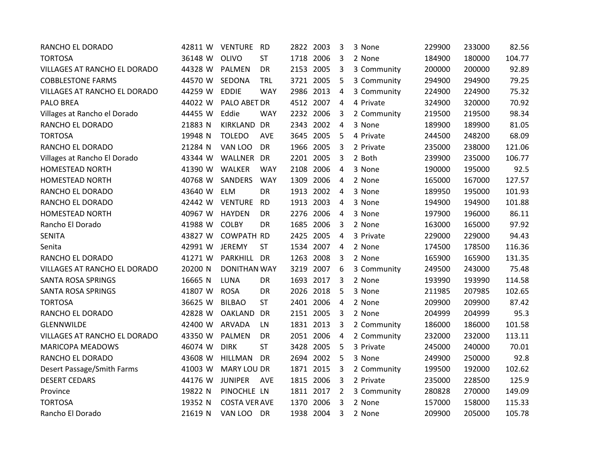| RANCHO EL DORADO             | 42811 W | <b>VENTURE RD</b>    |            | 2822 2003 |           | 3              | 3 None      | 229900 | 233000 | 82.56  |
|------------------------------|---------|----------------------|------------|-----------|-----------|----------------|-------------|--------|--------|--------|
| <b>TORTOSA</b>               | 36148 W | OLIVO                | <b>ST</b>  | 1718 2006 |           | 3              | 2 None      | 184900 | 180000 | 104.77 |
| VILLAGES AT RANCHO EL DORADO | 44328 W | <b>PALMEN</b>        | DR         | 2153 2005 |           | 3              | 3 Community | 200000 | 200000 | 92.89  |
| <b>COBBLESTONE FARMS</b>     | 44570 W | SEDONA               | <b>TRL</b> |           | 3721 2005 | 5              | 3 Community | 294900 | 294900 | 79.25  |
| VILLAGES AT RANCHO EL DORADO | 44259 W | <b>EDDIE</b>         | <b>WAY</b> | 2986 2013 |           | $\overline{4}$ | 3 Community | 224900 | 224900 | 75.32  |
| PALO BREA                    | 44022 W | PALO ABET DR         |            |           | 4512 2007 | $\overline{4}$ | 4 Private   | 324900 | 320000 | 70.92  |
| Villages at Rancho el Dorado | 44455 W | Eddie                | <b>WAY</b> | 2232 2006 |           | 3              | 2 Community | 219500 | 219500 | 98.34  |
| RANCHO EL DORADO             | 21883 N | KIRKLAND DR          |            |           | 2343 2002 | 4              | 3 None      | 189900 | 189900 | 81.05  |
| <b>TORTOSA</b>               | 19948 N | <b>TOLEDO</b>        | AVE        |           | 3645 2005 | 5              | 4 Private   | 244500 | 248200 | 68.09  |
| RANCHO EL DORADO             | 21284 N | VAN LOO              | <b>DR</b>  | 1966 2005 |           | $\overline{3}$ | 2 Private   | 235000 | 238000 | 121.06 |
| Villages at Rancho El Dorado | 43344 W | WALLNER DR           |            | 2201 2005 |           | 3              | 2 Both      | 239900 | 235000 | 106.77 |
| HOMESTEAD NORTH              | 41390 W | <b>WALKER</b>        | <b>WAY</b> |           | 2108 2006 | 4              | 3 None      | 190000 | 195000 | 92.5   |
| <b>HOMESTEAD NORTH</b>       | 40768 W | <b>SANDERS</b>       | <b>WAY</b> |           | 1309 2006 | 4              | 2 None      | 165000 | 167000 | 127.57 |
| RANCHO EL DORADO             | 43640 W | <b>ELM</b>           | <b>DR</b>  | 1913 2002 |           | 4              | 3 None      | 189950 | 195000 | 101.93 |
| RANCHO EL DORADO             | 42442 W | <b>VENTURE</b>       | <b>RD</b>  | 1913 2003 |           | 4              | 3 None      | 194900 | 194900 | 101.88 |
| <b>HOMESTEAD NORTH</b>       | 40967 W | HAYDEN               | DR         | 2276 2006 |           | 4              | 3 None      | 197900 | 196000 | 86.11  |
| Rancho El Dorado             | 41988 W | <b>COLBY</b>         | DR         | 1685 2006 |           | 3              | 2 None      | 163000 | 165000 | 97.92  |
| <b>SENITA</b>                | 43827 W | <b>COWPATH RD</b>    |            | 2425 2005 |           | 4              | 3 Private   | 229000 | 229000 | 94.43  |
| Senita                       | 42991 W | <b>JEREMY</b>        | <b>ST</b>  |           | 1534 2007 | $\overline{a}$ | 2 None      | 174500 | 178500 | 116.36 |
| RANCHO EL DORADO             | 41271 W | PARKHILL DR          |            | 1263 2008 |           | 3              | 2 None      | 165900 | 165900 | 131.35 |
| VILLAGES AT RANCHO EL DORADO | 20200 N | <b>DONITHAN WAY</b>  |            |           | 3219 2007 | 6              | 3 Community | 249500 | 243000 | 75.48  |
| SANTA ROSA SPRINGS           | 16665 N | LUNA                 | DR         |           | 1693 2017 | 3              | 2 None      | 193990 | 193990 | 114.58 |
| SANTA ROSA SPRINGS           | 41807 W | <b>ROSA</b>          | DR         |           | 2026 2018 | 5              | 3 None      | 211985 | 207985 | 102.65 |
| <b>TORTOSA</b>               | 36625 W | <b>BILBAO</b>        | <b>ST</b>  |           | 2401 2006 | $\overline{4}$ | 2 None      | 209900 | 209900 | 87.42  |
| RANCHO EL DORADO             | 42828 W | OAKLAND              | DR         | 2151 2005 |           | 3              | 2 None      | 204999 | 204999 | 95.3   |
| GLENNWILDE                   | 42400 W | <b>ARVADA</b>        | LN         |           | 1831 2013 | 3              | 2 Community | 186000 | 186000 | 101.58 |
| VILLAGES AT RANCHO EL DORADO | 43350 W | <b>PALMEN</b>        | DR         |           | 2051 2006 | 4              | 2 Community | 232000 | 232000 | 113.11 |
| <b>MARICOPA MEADOWS</b>      | 46074 W | <b>DIRK</b>          | <b>ST</b>  |           | 3428 2005 | 5              | 3 Private   | 245000 | 240000 | 70.01  |
| RANCHO EL DORADO             | 43608 W | <b>HILLMAN</b>       | <b>DR</b>  |           | 2694 2002 | 5              | 3 None      | 249900 | 250000 | 92.8   |
| Desert Passage/Smith Farms   | 41003 W | <b>MARY LOU DR</b>   |            | 1871 2015 |           | 3              | 2 Community | 199500 | 192000 | 102.62 |
| <b>DESERT CEDARS</b>         | 44176 W | <b>JUNIPER</b>       | AVE        |           | 1815 2006 | 3              | 2 Private   | 235000 | 228500 | 125.9  |
| Province                     | 19822 N | PINOCHLE LN          |            | 1811 2017 |           | $\overline{2}$ | 3 Community | 280828 | 270000 | 149.09 |
| <b>TORTOSA</b>               | 19352 N | <b>COSTA VER AVE</b> |            | 1370 2006 |           | 3              | 2 None      | 157000 | 158000 | 115.33 |
| Rancho El Dorado             | 21619 N | VAN LOO DR           |            |           | 1938 2004 | 3              | 2 None      | 209900 | 205000 | 105.78 |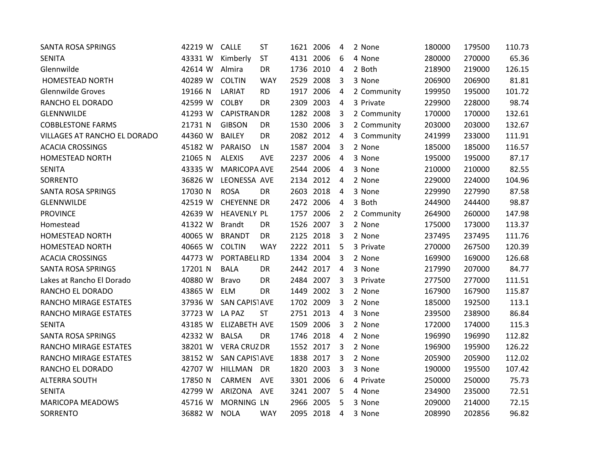| <b>SANTA ROSA SPRINGS</b>    | 42219 W | <b>CALLE</b>        | <b>ST</b>  | 1621 2006 |           | 4              | 2 None      | 180000 | 179500 | 110.73 |
|------------------------------|---------|---------------------|------------|-----------|-----------|----------------|-------------|--------|--------|--------|
| <b>SENITA</b>                | 43331 W | Kimberly            | <b>ST</b>  |           | 4131 2006 | 6              | 4 None      | 280000 | 270000 | 65.36  |
| Glennwilde                   | 42614 W | Almira              | DR         |           | 1736 2010 | 4              | 2 Both      | 218900 | 219000 | 126.15 |
| <b>HOMESTEAD NORTH</b>       | 40289 W | <b>COLTIN</b>       | <b>WAY</b> |           | 2529 2008 | 3              | 3 None      | 206900 | 206900 | 81.81  |
| <b>Glennwilde Groves</b>     | 19166 N | LARIAT              | <b>RD</b>  | 1917 2006 |           | 4              | 2 Community | 199950 | 195000 | 101.72 |
| RANCHO EL DORADO             | 42599 W | <b>COLBY</b>        | DR         |           | 2309 2003 | 4              | 3 Private   | 229900 | 228000 | 98.74  |
| <b>GLENNWILDE</b>            | 41293 W | <b>CAPISTRANDR</b>  |            | 1282 2008 |           | 3              | 2 Community | 170000 | 170000 | 132.61 |
| <b>COBBLESTONE FARMS</b>     | 21731 N | <b>GIBSON</b>       | DR         |           | 1530 2006 | 3              | 2 Community | 203000 | 203000 | 132.67 |
| VILLAGES AT RANCHO EL DORADO | 44360 W | <b>BAILEY</b>       | DR         |           | 2082 2012 | $\overline{4}$ | 3 Community | 241999 | 233000 | 111.91 |
| <b>ACACIA CROSSINGS</b>      | 45182 W | <b>PARAISO</b>      | LN         |           | 1587 2004 | 3              | 2 None      | 185000 | 185000 | 116.57 |
| <b>HOMESTEAD NORTH</b>       | 21065 N | <b>ALEXIS</b>       | AVE        |           | 2237 2006 | 4              | 3 None      | 195000 | 195000 | 87.17  |
| <b>SENITA</b>                | 43335 W | MARICOPA AVE        |            |           | 2544 2006 | 4              | 3 None      | 210000 | 210000 | 82.55  |
| SORRENTO                     | 36826 W | LEONESSA AVE        |            | 2134 2012 |           | 4              | 2 None      | 229000 | 224000 | 104.96 |
| <b>SANTA ROSA SPRINGS</b>    | 17030 N | <b>ROSA</b>         | DR         |           | 2603 2018 | 4              | 3 None      | 229990 | 227990 | 87.58  |
| <b>GLENNWILDE</b>            | 42519 W | <b>CHEYENNE DR</b>  |            |           | 2472 2006 | 4              | 3 Both      | 244900 | 244400 | 98.87  |
| <b>PROVINCE</b>              | 42639 W | <b>HEAVENLY PL</b>  |            | 1757 2006 |           | $\overline{2}$ | 2 Community | 264900 | 260000 | 147.98 |
| Homestead                    | 41322 W | <b>Brandt</b>       | DR         |           | 1526 2007 | 3              | 2 None      | 175000 | 173000 | 113.37 |
| <b>HOMESTEAD NORTH</b>       | 40065 W | <b>BRANDT</b>       | <b>DR</b>  |           | 2125 2018 | 3              | 2 None      | 237495 | 237495 | 111.76 |
| <b>HOMESTEAD NORTH</b>       | 40665 W | <b>COLTIN</b>       | <b>WAY</b> |           | 2222 2011 | 5              | 3 Private   | 270000 | 267500 | 120.39 |
| <b>ACACIA CROSSINGS</b>      | 44773 W | PORTABELI RD        |            |           | 1334 2004 | 3              | 2 None      | 169900 | 169000 | 126.68 |
| <b>SANTA ROSA SPRINGS</b>    | 17201 N | <b>BALA</b>         | DR         |           | 2442 2017 | $\overline{4}$ | 3 None      | 217990 | 207000 | 84.77  |
| Lakes at Rancho El Dorado    | 40880 W | <b>Bravo</b>        | DR         |           | 2484 2007 | 3              | 3 Private   | 277500 | 277000 | 111.51 |
| RANCHO EL DORADO             | 43865 W | <b>ELM</b>          | DR         |           | 1449 2002 | 3              | 2 None      | 167900 | 167900 | 115.87 |
| RANCHO MIRAGE ESTATES        | 37936 W | SAN CAPISTAVE       |            | 1702 2009 |           | $\overline{3}$ | 2 None      | 185000 | 192500 | 113.1  |
| RANCHO MIRAGE ESTATES        | 37723 W | LA PAZ              | <b>ST</b>  | 2751 2013 |           | 4              | 3 None      | 239500 | 238900 | 86.84  |
| <b>SENITA</b>                | 43185 W | ELIZABETH AVE       |            | 1509 2006 |           | 3              | 2 None      | 172000 | 174000 | 115.3  |
| <b>SANTA ROSA SPRINGS</b>    | 42332 W | <b>BALSA</b>        | <b>DR</b>  |           | 1746 2018 | 4              | 2 None      | 196990 | 196990 | 112.82 |
| RANCHO MIRAGE ESTATES        | 38201 W | <b>VERA CRUZ DR</b> |            |           | 1552 2017 | 3              | 2 None      | 196900 | 195900 | 126.22 |
| RANCHO MIRAGE ESTATES        | 38152 W | SAN CAPISTAVE       |            |           | 1838 2017 | $\overline{3}$ | 2 None      | 205900 | 205900 | 112.02 |
| RANCHO EL DORADO             | 42707 W | HILLMAN DR          |            | 1820 2003 |           | 3              | 3 None      | 190000 | 195500 | 107.42 |
| <b>ALTERRA SOUTH</b>         | 17850 N | CARMEN              | AVE        |           | 3301 2006 | 6              | 4 Private   | 250000 | 250000 | 75.73  |
| <b>SENITA</b>                | 42799 W | ARIZONA             | AVE        |           | 3241 2007 | 5              | 4 None      | 234900 | 235000 | 72.51  |
| <b>MARICOPA MEADOWS</b>      | 45716 W | MORNING LN          |            | 2966 2005 |           | 5              | 3 None      | 209000 | 214000 | 72.15  |
| SORRENTO                     | 36882 W | <b>NOLA</b>         | WAY        |           | 2095 2018 | 4              | 3 None      | 208990 | 202856 | 96.82  |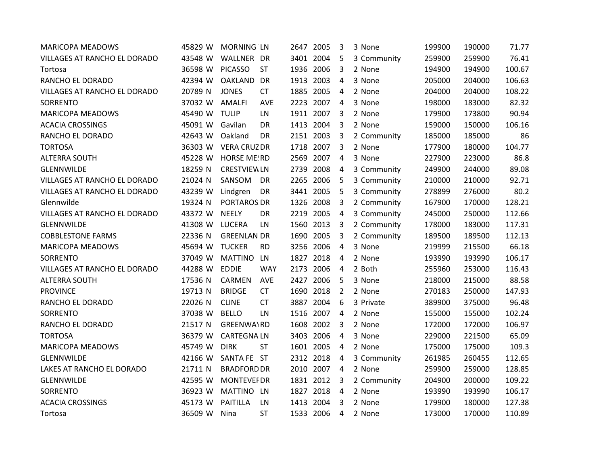| <b>MARICOPA MEADOWS</b>      | 45829 W | <b>MORNING LN</b>   |            | 2647 2005 |           | 3              | 3 None      | 199900 | 190000 | 71.77  |
|------------------------------|---------|---------------------|------------|-----------|-----------|----------------|-------------|--------|--------|--------|
| VILLAGES AT RANCHO EL DORADO | 43548 W | WALLNER DR          |            |           | 3401 2004 | 5              | 3 Community | 259900 | 259900 | 76.41  |
| Tortosa                      | 36598 W | <b>PICASSO</b>      | <b>ST</b>  | 1936 2006 |           | 3              | 2 None      | 194900 | 194900 | 100.67 |
| RANCHO EL DORADO             | 42394 W | OAKLAND             | <b>DR</b>  | 1913 2003 |           | 4              | 3 None      | 205000 | 204000 | 106.63 |
| VILLAGES AT RANCHO EL DORADO | 20789 N | <b>JONES</b>        | <b>CT</b>  | 1885 2005 |           | 4              | 2 None      | 204000 | 204000 | 108.22 |
| SORRENTO                     | 37032 W | <b>AMALFI</b>       | AVE        |           | 2223 2007 | $\overline{4}$ | 3 None      | 198000 | 183000 | 82.32  |
| <b>MARICOPA MEADOWS</b>      | 45490 W | <b>TULIP</b>        | LN         | 1911 2007 |           | 3              | 2 None      | 179900 | 173800 | 90.94  |
| <b>ACACIA CROSSINGS</b>      | 45091 W | Gavilan             | <b>DR</b>  | 1413 2004 |           | 3              | 2 None      | 159000 | 150000 | 106.16 |
| RANCHO EL DORADO             | 42643 W | Oakland             | DR         | 2151 2003 |           | 3              | 2 Community | 185000 | 185000 | 86     |
| <b>TORTOSA</b>               | 36303 W | <b>VERA CRUZ DR</b> |            | 1718 2007 |           | $\overline{3}$ | 2 None      | 177900 | 180000 | 104.77 |
| <b>ALTERRA SOUTH</b>         | 45228 W | <b>HORSE ME!RD</b>  |            | 2569 2007 |           | 4              | 3 None      | 227900 | 223000 | 86.8   |
| GLENNWILDE                   | 18259 N | <b>CRESTVIEW LN</b> |            | 2739 2008 |           | 4              | 3 Community | 249900 | 244000 | 89.08  |
| VILLAGES AT RANCHO EL DORADO | 21024 N | SANSOM              | DR.        | 2265 2006 |           | 5              | 3 Community | 210000 | 210000 | 92.71  |
| VILLAGES AT RANCHO EL DORADO | 43239 W | Lindgren            | DR         | 3441 2005 |           | 5              | 3 Community | 278899 | 276000 | 80.2   |
| Glennwilde                   | 19324 N | PORTAROS DR         |            | 1326 2008 |           | 3              | 2 Community | 167900 | 170000 | 128.21 |
| VILLAGES AT RANCHO EL DORADO | 43372 W | <b>NEELY</b>        | <b>DR</b>  | 2219 2005 |           | 4              | 3 Community | 245000 | 250000 | 112.66 |
| GLENNWILDE                   | 41308 W | <b>LUCERA</b>       | LN         | 1560 2013 |           | 3              | 2 Community | 178000 | 183000 | 117.31 |
| <b>COBBLESTONE FARMS</b>     | 22336 N | <b>GREENLAN DR</b>  |            | 1690 2005 |           | 3              | 2 Community | 189500 | 189500 | 112.13 |
| <b>MARICOPA MEADOWS</b>      | 45694 W | <b>TUCKER</b>       | <b>RD</b>  |           | 3256 2006 | 4              | 3 None      | 219999 | 215500 | 66.18  |
| SORRENTO                     | 37049 W | MATTINO             | LN         |           | 1827 2018 | 4              | 2 None      | 193990 | 193990 | 106.17 |
| VILLAGES AT RANCHO EL DORADO | 44288 W | <b>EDDIE</b>        | <b>WAY</b> | 2173 2006 |           | 4              | 2 Both      | 255960 | 253000 | 116.43 |
| <b>ALTERRA SOUTH</b>         | 17536 N | CARMEN              | <b>AVE</b> | 2427 2006 |           | 5              | 3 None      | 218000 | 215000 | 88.58  |
| <b>PROVINCE</b>              | 19713 N | <b>BRIDGE</b>       | <b>CT</b>  |           | 1690 2018 | $\overline{2}$ | 2 None      | 270183 | 250000 | 147.93 |
| RANCHO EL DORADO             | 22026 N | <b>CLINE</b>        | <b>CT</b>  | 3887 2004 |           | 6              | 3 Private   | 389900 | 375000 | 96.48  |
| SORRENTO                     | 37038 W | <b>BELLO</b>        | LN         |           | 1516 2007 | $\overline{4}$ | 2 None      | 155000 | 155000 | 102.24 |
| RANCHO EL DORADO             | 21517 N | <b>GREENWA\RD</b>   |            | 1608 2002 |           | 3              | 2 None      | 172000 | 172000 | 106.97 |
| <b>TORTOSA</b>               | 36379 W | <b>CARTEGNALN</b>   |            |           | 3403 2006 | 4              | 3 None      | 229000 | 221500 | 65.09  |
| <b>MARICOPA MEADOWS</b>      | 45749 W | <b>DIRK</b>         | <b>ST</b>  | 1601 2005 |           | 4              | 2 None      | 175000 | 175000 | 109.3  |
| GLENNWILDE                   | 42166 W | SANTA FE ST         |            |           | 2312 2018 | $\overline{4}$ | 3 Community | 261985 | 260455 | 112.65 |
| LAKES AT RANCHO EL DORADO    | 21711 N | <b>BRADFORD DR</b>  |            |           | 2010 2007 | $\overline{4}$ | 2 None      | 259900 | 259000 | 128.85 |
| GLENNWILDE                   | 42595 W | <b>MONTEVEF DR</b>  |            | 1831 2012 |           | 3              | 2 Community | 204900 | 200000 | 109.22 |
| SORRENTO                     | 36923 W | MATTINO LN          |            |           | 1827 2018 | 4              | 2 None      | 193990 | 193990 | 106.17 |
| <b>ACACIA CROSSINGS</b>      | 45173 W | <b>PAITILLA</b>     | LN         | 1413 2004 |           | 3              | 2 None      | 179900 | 180000 | 127.38 |
| Tortosa                      | 36509 W | Nina                | <b>ST</b>  | 1533 2006 |           | 4              | 2 None      | 173000 | 170000 | 110.89 |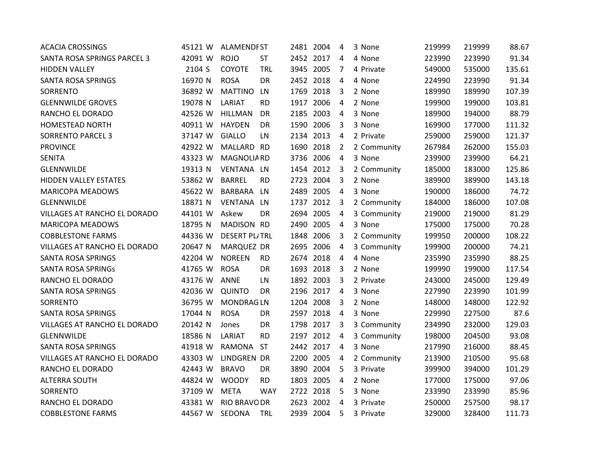| <b>ACACIA CROSSINGS</b>      | 45121 W        | <b>ALAMENDIST</b>    |            |           | 2481 2004 | 4                       | 3 None      | 219999 | 219999 | 88.67  |
|------------------------------|----------------|----------------------|------------|-----------|-----------|-------------------------|-------------|--------|--------|--------|
| SANTA ROSA SPRINGS PARCEL 3  | 42091 W        | <b>ROJO</b>          | <b>ST</b>  |           | 2452 2017 | $\overline{a}$          | 4 None      | 223990 | 223990 | 91.34  |
| <b>HIDDEN VALLEY</b>         | 2104 S         | COYOTE               | TRL        |           | 3945 2005 | 7                       | 4 Private   | 549000 | 535000 | 135.61 |
| SANTA ROSA SPRINGS           | 16970 N        | <b>ROSA</b>          | <b>DR</b>  | 2452 2018 |           | 4                       | 4 None      | 224990 | 223990 | 91.34  |
| SORRENTO                     | 36892 W        | <b>MATTINO</b>       | LN         | 1769 2018 |           | $\overline{\mathbf{3}}$ | 2 None      | 189990 | 189990 | 107.39 |
| <b>GLENNWILDE GROVES</b>     | 19078 N        | LARIAT               | <b>RD</b>  | 1917 2006 |           | 4                       | 2 None      | 199900 | 199000 | 103.81 |
| RANCHO EL DORADO             | 42526 W        | <b>HILLMAN</b>       | <b>DR</b>  |           | 2185 2003 | 4                       | 3 None      | 189900 | 194000 | 88.79  |
| <b>HOMESTEAD NORTH</b>       | 40911 W        | <b>HAYDEN</b>        | DR         |           | 1590 2006 | 3                       | 3 None      | 169900 | 177000 | 111.32 |
| <b>SORRENTO PARCEL 3</b>     | 37147 W        | <b>GIALLO</b>        | LN         |           | 2134 2013 | 4                       | 2 Private   | 259000 | 259000 | 121.37 |
| <b>PROVINCE</b>              | 42922 W        | MALLARD RD           |            | 1690 2018 |           | $\overline{2}$          | 2 Community | 267984 | 262000 | 155.03 |
| <b>SENITA</b>                | 43323 W        | <b>MAGNOLIA RD</b>   |            |           | 3736 2006 | $\overline{4}$          | 3 None      | 239900 | 239900 | 64.21  |
| GLENNWILDE                   | 19313 N        | VENTANA LN           |            |           | 1454 2012 | $\overline{3}$          | 2 Community | 185000 | 183000 | 125.86 |
| <b>HIDDEN VALLEY ESTATES</b> | 53862 W        | <b>BARREL</b>        | <b>RD</b>  |           | 2723 2004 | 3                       | 2 None      | 389900 | 389900 | 143.18 |
| <b>MARICOPA MEADOWS</b>      | 45622 W        | BARBARA              | LN         | 2489 2005 |           | $\overline{4}$          | 3 None      | 190000 | 186000 | 74.72  |
| GLENNWILDE                   | 18871 N        | VENTANA LN           |            | 1737 2012 |           | $\overline{3}$          | 2 Community | 184000 | 186000 | 107.08 |
| VILLAGES AT RANCHO EL DORADO | 44101 W        | Askew                | DR         |           | 2694 2005 | $\overline{a}$          | 3 Community | 219000 | 219000 | 81.29  |
| <b>MARICOPA MEADOWS</b>      | 18795 N        | MADISON RD           |            |           | 2490 2005 | 4                       | 3 None      | 175000 | 175000 | 70.28  |
| <b>COBBLESTONE FARMS</b>     | 44336 W        | <b>DESERT PL/TRL</b> |            | 1848 2006 |           | 3                       | 2 Community | 199950 | 200000 | 108.22 |
| VILLAGES AT RANCHO EL DORADO | 20647 N        | <b>MARQUEZ DR</b>    |            | 2695 2006 |           | $\overline{4}$          | 3 Community | 199900 | 200000 | 74.21  |
| SANTA ROSA SPRINGS           | 42204 W        | <b>NOREEN</b>        | <b>RD</b>  |           | 2674 2018 | $\overline{4}$          | 4 None      | 235990 | 235990 | 88.25  |
| <b>SANTA ROSA SPRINGs</b>    | 41765 W        | <b>ROSA</b>          | DR         |           | 1693 2018 | 3                       | 2 None      | 199990 | 199000 | 117.54 |
| RANCHO EL DORADO             | 43176 W        | <b>ANNE</b>          | LN         |           | 1892 2003 | 3                       | 2 Private   | 243000 | 245000 | 129.49 |
| SANTA ROSA SPRINGS           | 42036 W        | <b>QUINTO</b>        | DR         |           | 2196 2017 | 4                       | 3 None      | 227990 | 223990 | 101.99 |
| SORRENTO                     | 36795 W        | <b>MONDRAGLN</b>     |            | 1204 2008 |           | $\overline{3}$          | 2 None      | 148000 | 148000 | 122.92 |
| SANTA ROSA SPRINGS           | 17044 N        | <b>ROSA</b>          | DR         | 2597 2018 |           | 4                       | 3 None      | 229990 | 227500 | 87.6   |
| VILLAGES AT RANCHO EL DORADO | 20142 N        | Jones                | DR         |           | 1798 2017 | 3                       | 3 Community | 234990 | 232000 | 129.03 |
| GLENNWILDE                   | 18586 N        | LARIAT               | <b>RD</b>  |           | 2197 2012 | 4                       | 3 Community | 198000 | 204500 | 93.08  |
| SANTA ROSA SPRINGS           | 41918 W        | RAMONA               | <b>ST</b>  |           | 2442 2017 | 4                       | 3 None      | 217990 | 216000 | 88.45  |
| VILLAGES AT RANCHO EL DORADO | 43303 W        | LINDGREN DR          |            |           | 2200 2005 | $\overline{4}$          | 2 Community | 213900 | 210500 | 95.68  |
| RANCHO EL DORADO             | 42443 W        | <b>BRAVO</b>         | DR         |           | 3890 2004 | 5                       | 3 Private   | 399900 | 394000 | 101.29 |
| <b>ALTERRA SOUTH</b>         | 44824 W        | <b>WOODY</b>         | <b>RD</b>  |           | 1803 2005 | 4                       | 2 None      | 177000 | 175000 | 97.06  |
| SORRENTO                     | 37109 W        | <b>META</b>          | <b>WAY</b> |           | 2722 2018 | 5                       | 3 None      | 233990 | 233990 | 85.96  |
| RANCHO EL DORADO             | 43381 W        | <b>RIO BRAVO DR</b>  |            | 2623 2002 |           | $\overline{4}$          | 3 Private   | 250000 | 257500 | 98.17  |
| <b>COBBLESTONE FARMS</b>     | 44567 W SEDONA |                      | <b>TRL</b> |           | 2939 2004 | 5                       | 3 Private   | 329000 | 328400 | 111.73 |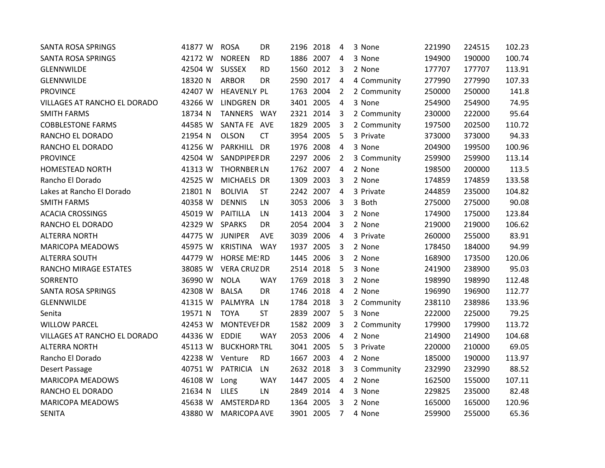| <b>SANTA ROSA SPRINGS</b>    | 41877 W | <b>ROSA</b>         | DR         | 2196 2018 |           | 4              | 3 None      | 221990 | 224515 | 102.23 |
|------------------------------|---------|---------------------|------------|-----------|-----------|----------------|-------------|--------|--------|--------|
| <b>SANTA ROSA SPRINGS</b>    | 42172 W | <b>NOREEN</b>       | <b>RD</b>  |           | 1886 2007 | 4              | 3 None      | 194900 | 190000 | 100.74 |
| <b>GLENNWILDE</b>            | 42504 W | <b>SUSSEX</b>       | <b>RD</b>  |           | 1560 2012 | 3              | 2 None      | 177707 | 177707 | 113.91 |
| GLENNWILDE                   | 18320 N | <b>ARBOR</b>        | DR         | 2590 2017 |           | 4              | 4 Community | 277990 | 277990 | 107.33 |
| <b>PROVINCE</b>              | 42407 W | <b>HEAVENLY PL</b>  |            | 1763 2004 |           | $\overline{2}$ | 2 Community | 250000 | 250000 | 141.8  |
| VILLAGES AT RANCHO EL DORADO | 43266 W | LINDGREN DR         |            | 3401 2005 |           | $\overline{4}$ | 3 None      | 254900 | 254900 | 74.95  |
| <b>SMITH FARMS</b>           | 18734 N | TANNERS WAY         |            |           | 2321 2014 | 3              | 2 Community | 230000 | 222000 | 95.64  |
| <b>COBBLESTONE FARMS</b>     | 44585 W | SANTA FE AVE        |            |           | 1829 2005 | 3              | 2 Community | 197500 | 202500 | 110.72 |
| RANCHO EL DORADO             | 21954 N | <b>OLSON</b>        | <b>CT</b>  |           | 3954 2005 | 5              | 3 Private   | 373000 | 373000 | 94.33  |
| RANCHO EL DORADO             | 41256 W | PARKHILL DR         |            | 1976 2008 |           | $\overline{a}$ | 3 None      | 204900 | 199500 | 100.96 |
| <b>PROVINCE</b>              | 42504 W | <b>SANDPIPER DR</b> |            | 2297 2006 |           | 2              | 3 Community | 259900 | 259900 | 113.14 |
| <b>HOMESTEAD NORTH</b>       | 41313 W | <b>THORNBER LN</b>  |            |           | 1762 2007 | $\overline{4}$ | 2 None      | 198500 | 200000 | 113.5  |
| Rancho El Dorado             | 42525 W | MICHAELS DR         |            | 1309 2003 |           | 3              | 2 None      | 174859 | 174859 | 133.58 |
| Lakes at Rancho El Dorado    | 21801 N | <b>BOLIVIA</b>      | <b>ST</b>  | 2242 2007 |           | $\overline{4}$ | 3 Private   | 244859 | 235000 | 104.82 |
| <b>SMITH FARMS</b>           | 40358 W | <b>DENNIS</b>       | LN         |           | 3053 2006 | 3              | 3 Both      | 275000 | 275000 | 90.08  |
| <b>ACACIA CROSSINGS</b>      | 45019 W | PAITILLA            | LN         | 1413 2004 |           | 3              | 2 None      | 174900 | 175000 | 123.84 |
| RANCHO EL DORADO             | 42329 W | <b>SPARKS</b>       | DR.        | 2054 2004 |           | 3              | 2 None      | 219000 | 219000 | 106.62 |
| <b>ALTERRA NORTH</b>         | 44775 W | <b>JUNIPER</b>      | AVE        |           | 3039 2006 | 4              | 3 Private   | 260000 | 255000 | 83.91  |
| <b>MARICOPA MEADOWS</b>      | 45975 W | <b>KRISTINA</b>     | <b>WAY</b> | 1937 2005 |           | 3              | 2 None      | 178450 | 184000 | 94.99  |
| <b>ALTERRA SOUTH</b>         | 44779 W | <b>HORSE ME! RD</b> |            |           | 1445 2006 | 3              | 2 None      | 168900 | 173500 | 120.06 |
| RANCHO MIRAGE ESTATES        | 38085 W | <b>VERA CRUZ DR</b> |            |           | 2514 2018 | 5              | 3 None      | 241900 | 238900 | 95.03  |
| SORRENTO                     | 36990 W | <b>NOLA</b>         | <b>WAY</b> |           | 1769 2018 | 3              | 2 None      | 198990 | 198990 | 112.48 |
| <b>SANTA ROSA SPRINGS</b>    | 42308 W | <b>BALSA</b>        | <b>DR</b>  | 1746 2018 |           | 4              | 2 None      | 196990 | 196900 | 112.77 |
| GLENNWILDE                   | 41315 W | PALMYRA             | LN.        | 1784 2018 |           | $\overline{3}$ | 2 Community | 238110 | 238986 | 133.96 |
| Senita                       | 19571 N | <b>TOYA</b>         | <b>ST</b>  |           | 2839 2007 | 5              | 3 None      | 222000 | 225000 | 79.25  |
| <b>WILLOW PARCEL</b>         | 42453 W | <b>MONTEVEF DR</b>  |            | 1582 2009 |           | 3              | 2 Community | 179900 | 179900 | 113.72 |
| VILLAGES AT RANCHO EL DORADO | 44336 W | <b>EDDIE</b>        | <b>WAY</b> |           | 2053 2006 | 4              | 2 None      | 214900 | 214900 | 104.68 |
| <b>ALTERRA NORTH</b>         | 45113 W | <b>BUCKHORNTRL</b>  |            |           | 3041 2005 | 5              | 3 Private   | 220000 | 210000 | 69.05  |
| Rancho El Dorado             | 42238 W | Venture             | <b>RD</b>  | 1667 2003 |           | $\overline{a}$ | 2 None      | 185000 | 190000 | 113.97 |
| Desert Passage               | 40751 W | <b>PATRICIA</b>     | LN         |           | 2632 2018 | 3              | 3 Community | 232990 | 232990 | 88.52  |
| <b>MARICOPA MEADOWS</b>      | 46108 W | Long                | <b>WAY</b> | 1447 2005 |           | 4              | 2 None      | 162500 | 155000 | 107.11 |
| RANCHO EL DORADO             | 21634 N | <b>LILES</b>        | LN         |           | 2849 2014 | 4              | 3 None      | 229825 | 235000 | 82.48  |
| <b>MARICOPA MEADOWS</b>      | 45638 W | AMSTERDARD          |            | 1364 2005 |           | 3              | 2 None      | 165000 | 165000 | 120.96 |
| <b>SENITA</b>                | 43880 W | <b>MARICOPA AVE</b> |            | 3901 2005 |           | 7              | 4 None      | 259900 | 255000 | 65.36  |